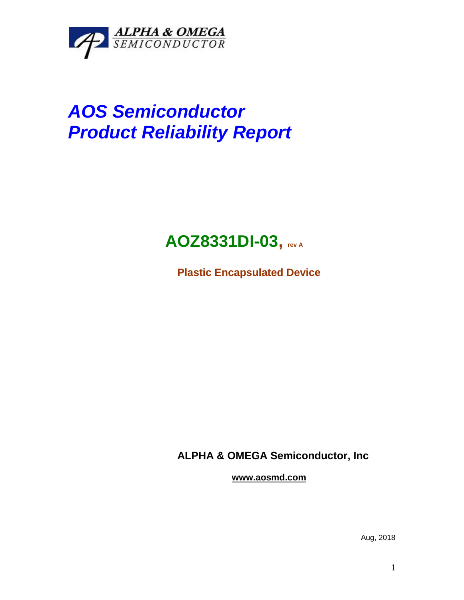

# *AOS Semiconductor Product Reliability Report*

# **AOZ8331DI-03, rev <sup>A</sup>**

**Plastic Encapsulated Device**

**ALPHA & OMEGA Semiconductor, Inc**

**www.aosmd.com**

Aug, 2018